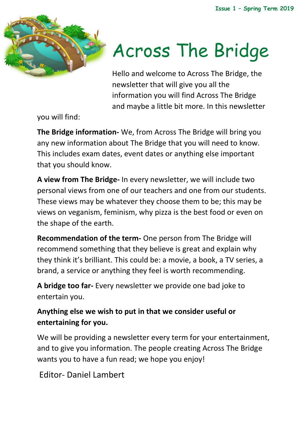

# Across The Bridge

Hello and welcome to Across The Bridge, the newsletter that will give you all the information you will find Across The Bridge and maybe a little bit more. In this newsletter

you will find:

**The Bridge information-** We, from Across The Bridge will bring you any new information about The Bridge that you will need to know. This includes exam dates, event dates or anything else important that you should know.

**A view from The Bridge-** In every newsletter, we will include two personal views from one of our teachers and one from our students. These views may be whatever they choose them to be; this may be views on veganism, feminism, why pizza is the best food or even on the shape of the earth.

**Recommendation of the term-** One person from The Bridge will recommend something that they believe is great and explain why they think it's brilliant. This could be: a movie, a book, a TV series, a brand, a service or anything they feel is worth recommending.

**A bridge too far-** Every newsletter we provide one bad joke to entertain you.

#### **Anything else we wish to put in that we consider useful or entertaining for you.**

We will be providing a newsletter every term for your entertainment, and to give you information. The people creating Across The Bridge wants you to have a fun read; we hope you enjoy!

Editor- Daniel Lambert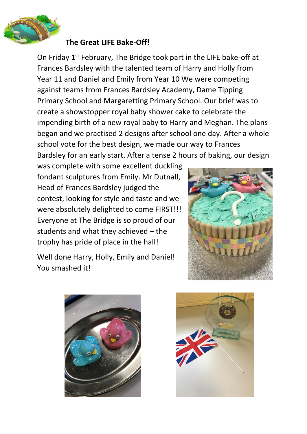

#### **The Great LIFE Bake-Off!**

On Friday 1st February, The Bridge took part in the LIFE bake-off at Frances Bardsley with the talented team of Harry and Holly from Year 11 and Daniel and Emily from Year 10 We were competing against teams from Frances Bardsley Academy, Dame Tipping Primary School and Margaretting Primary School. Our brief was to create a showstopper royal baby shower cake to celebrate the impending birth of a new royal baby to Harry and Meghan. The plans began and we practised 2 designs after school one day. After a whole school vote for the best design, we made our way to Frances Bardsley for an early start. After a tense 2 hours of baking, our design

was complete with some excellent duckling fondant sculptures from Emily. Mr Dutnall, Head of Frances Bardsley judged the contest, looking for style and taste and we were absolutely delighted to come FIRST!!! Everyone at The Bridge is so proud of our students and what they achieved – the trophy has pride of place in the hall!



Well done Harry, Holly, Emily and Daniel! You smashed it!



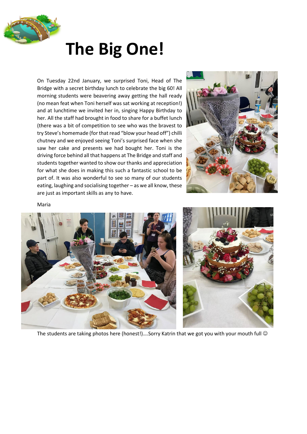

### **The Big One!**

On Tuesday 22nd January, we surprised Toni, Head of The Bridge with a secret birthday lunch to celebrate the big 60! All morning students were beavering away getting the hall ready (no mean feat when Toni herself was sat working at reception!) and at lunchtime we invited her in, singing Happy Birthday to her. All the staff had brought in food to share for a buffet lunch (there was a bit of competition to see who was the bravest to try Steve's homemade (for that read "blow your head off") chilli chutney and we enjoyed seeing Toni's surprised face when she saw her cake and presents we had bought her. Toni is the driving force behind all that happens at The Bridge and staff and students together wanted to show our thanks and appreciation for what she does in making this such a fantastic school to be part of. It was also wonderful to see so many of our students eating, laughing and socialising together – as we all know, these are just as important skills as any to have.



Maria





The students are taking photos here (honest!)....Sorry Katrin that we got you with your mouth full  $\odot$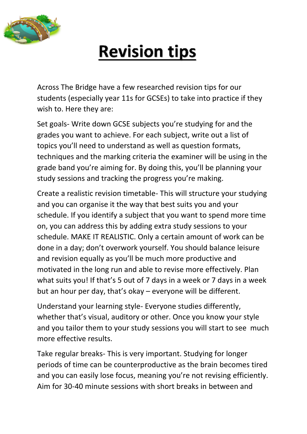

## **Revision tips**

Across The Bridge have a few researched revision tips for our students (especially year 11s for GCSEs) to take into practice if they wish to. Here they are:

Set goals- Write down GCSE subjects you're studying for and the grades you want to achieve. For each subject, write out a list of topics you'll need to understand as well as question formats, techniques and the marking criteria the examiner will be using in the grade band you're aiming for. By doing this, you'll be planning your study sessions and tracking the progress you're making.

Create a realistic revision timetable- This will structure your studying and you can organise it the way that best suits you and your schedule. If you identify a subject that you want to spend more time on, you can address this by adding extra study sessions to your schedule. MAKE IT REALISTIC. Only a certain amount of work can be done in a day; don't overwork yourself. You should balance leisure and revision equally as you'll be much more productive and motivated in the long run and able to revise more effectively. Plan what suits you! If that's 5 out of 7 days in a week or 7 days in a week but an hour per day, that's okay – everyone will be different.

Understand your learning style- Everyone studies differently, whether that's visual, auditory or other. Once you know your style and you tailor them to your study sessions you will start to see much more effective results.

Take regular breaks- This is very important. Studying for longer periods of time can be counterproductive as the brain becomes tired and you can easily lose focus, meaning you're not revising efficiently. Aim for 30-40 minute sessions with short breaks in between and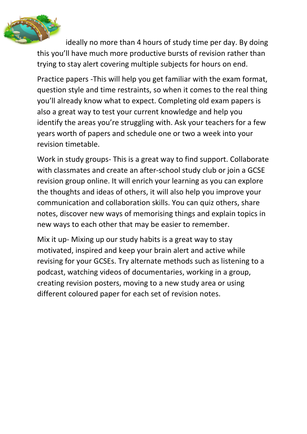

ideally no more than 4 hours of study time per day. By doing this you'll have much more productive bursts of revision rather than trying to stay alert covering multiple subjects for hours on end.

Practice papers -This will help you get familiar with the exam format, question style and time restraints, so when it comes to the real thing you'll already know what to expect. Completing old exam papers is also a great way to test your current knowledge and help you identify the areas you're struggling with. Ask your teachers for a few years worth of papers and schedule one or two a week into your revision timetable.

Work in study groups- This is a great way to find support. Collaborate with classmates and create an after-school study club or join a GCSE revision group online. It will enrich your learning as you can explore the thoughts and ideas of others, it will also help you improve your communication and collaboration skills. You can quiz others, share notes, discover new ways of memorising things and explain topics in new ways to each other that may be easier to remember.

Mix it up- Mixing up our study habits is a great way to stay motivated, inspired and keep your brain alert and active while revising for your GCSEs. Try alternate methods such as listening to a podcast, watching videos of documentaries, working in a group, creating revision posters, moving to a new study area or using different coloured paper for each set of revision notes.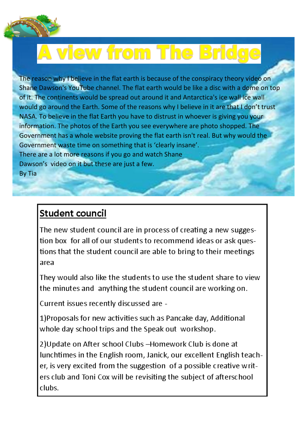

## **A view from The Bridge**

The reason why I believe in the flat earth is because of the conspiracy theory video on Shane Dawson's YouTube channel. The flat earth would be like a disc with a dome on top of it. The continents would be spread out around it and Antarctica's ice wall ice wall would go around the Earth. Some of the reasons why I believe in it are that I don't trust NASA. To believe in the flat Earth you have to distrust in whoever is giving you your information. The photos of the Earth you see everywhere are photo shopped. The Government has a whole website proving the flat earth isn't real. But why would the Government waste time on something that is 'clearly insane'. There are a lot more reasons if you go and watch Shane Dawson's video on it but these are just a few. By Tia

#### **Student council**

The new student council are in process of creating a new suggestion box for all of our students to recommend ideas or ask questions that the student council are able to bring to their meetings area

They would also like the students to use the student share to view the minutes and anything the student council are working on.

Current issues recently discussed are -

1) Proposals for new activities such as Pancake day, Additional whole day school trips and the Speak out workshop.

2) Update on After school Clubs - Homework Club is done at lunchtimes in the English room, Janick, our excellent English teacher, is very excited from the suggestion of a possible creative writers club and Toni Cox will be revisiting the subject of afterschool clubs.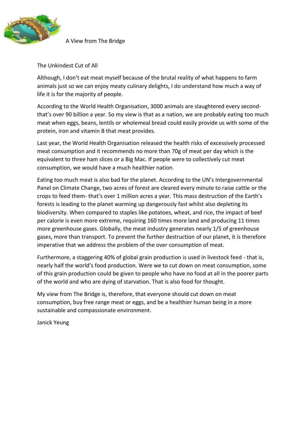

A View from The Bridge

The Unkindest Cut of All

Although, I don't eat meat myself because of the brutal reality of what happens to farm animals just so we can enjoy meaty culinary delights, I do understand how much a way of life it is for the majority of people.

According to the World Health Organisation, 3000 animals are slaughtered every secondthat's over 90 billion a year. So my view is that as a nation, we are probably eating too much meat when eggs, beans, lentils or wholemeal bread could easily provide us with some of the protein, iron and vitamin B that meat provides.

Last year, the World Health Organisation released the health risks of excessively processed meat consumption and it recommends no more than 70g of meat per day which is the equivalent to three ham slices or a Big Mac. If people were to collectively cut meat consumption, we would have a much healthier nation.

Eating too much meat is also bad for the planet. According to the UN's Intergovernmental Panel on Climate Change, two acres of forest are cleared every minute to raise cattle or the crops to feed them- that's over 1 million acres a year. This mass destruction of the Earth's forests is leading to the planet warming up dangerously fast whilst also depleting its biodiversity. When compared to staples like potatoes, wheat, and rice, the impact of beef per calorie is even more extreme, requiring 160 times more land and producing 11 times more greenhouse gases. Globally, the meat industry generates nearly 1/5 of greenhouse gases, more than transport. To prevent the further destruction of our planet, it is therefore imperative that we address the problem of the over consumption of meat.

Furthermore, a staggering 40% of global grain production is used in livestock feed - that is, nearly half the world's food production. Were we to cut down on meat consumption, some of this grain production could be given to people who have no food at all in the poorer parts of the world and who are dying of starvation. That is also food for thought.

My view from The Bridge is, therefore, that everyone should cut down on meat consumption, buy free range meat or eggs, and be a healthier human being in a more sustainable and compassionate environment.

Janick Yeung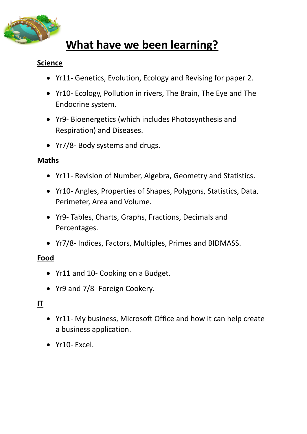

### **What have we been learning?**

#### **Science**

- Yr11- Genetics, Evolution, Ecology and Revising for paper 2.
- Yr10- Ecology, Pollution in rivers, The Brain, The Eye and The Endocrine system.
- Yr9- Bioenergetics (which includes Photosynthesis and Respiration) and Diseases.
- Yr7/8- Body systems and drugs.

#### **Maths**

- Yr11- Revision of Number, Algebra, Geometry and Statistics.
- Yr10- Angles, Properties of Shapes, Polygons, Statistics, Data, Perimeter, Area and Volume.
- Yr9- Tables, Charts, Graphs, Fractions, Decimals and Percentages.
- Yr7/8- Indices, Factors, Multiples, Primes and BIDMASS.

#### **Food**

- Yr11 and 10- Cooking on a Budget.
- Yr9 and 7/8- Foreign Cookery.

#### **IT**

- Yr11- My business, Microsoft Office and how it can help create a business application.
- Yr10- Excel.